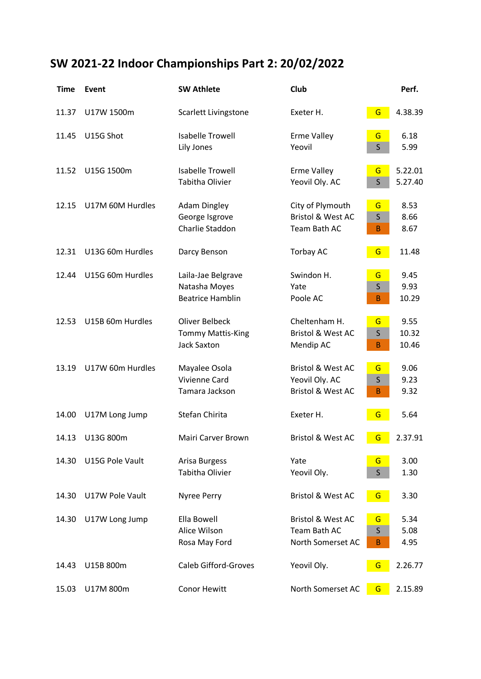## **SW 2021-22 Indoor Championships Part 2: 20/02/2022**

| <b>Time</b> | Event            | <b>SW Athlete</b>                                                       | Club                                                                           |                        | Perf.                  |
|-------------|------------------|-------------------------------------------------------------------------|--------------------------------------------------------------------------------|------------------------|------------------------|
| 11.37       | U17W 1500m       | Scarlett Livingstone                                                    | Exeter H.                                                                      | G                      | 4.38.39                |
| 11.45       | U15G Shot        | <b>Isabelle Trowell</b><br>Lily Jones                                   | <b>Erme Valley</b><br>Yeovil                                                   | G<br>$\mathsf{S}$      | 6.18<br>5.99           |
| 11.52       | U15G 1500m       | <b>Isabelle Trowell</b><br><b>Tabitha Olivier</b>                       | <b>Erme Valley</b><br>Yeovil Oly. AC                                           | G<br>$\mathsf{S}$      | 5.22.01<br>5.27.40     |
| 12.15       | U17M 60M Hurdles | <b>Adam Dingley</b><br>George Isgrove<br>Charlie Staddon                | City of Plymouth<br><b>Bristol &amp; West AC</b><br>Team Bath AC               | G<br>$\sf S$<br>B      | 8.53<br>8.66<br>8.67   |
| 12.31       | U13G 60m Hurdles | Darcy Benson                                                            | <b>Torbay AC</b>                                                               | G                      | 11.48                  |
| 12.44       | U15G 60m Hurdles | Laila-Jae Belgrave<br>Natasha Moyes<br><b>Beatrice Hamblin</b>          | Swindon H.<br>Yate<br>Poole AC                                                 | G<br>$\mathsf{S}$<br>B | 9.45<br>9.93<br>10.29  |
| 12.53       | U15B 60m Hurdles | <b>Oliver Belbeck</b><br><b>Tommy Mattis-King</b><br><b>Jack Saxton</b> | Cheltenham H.<br><b>Bristol &amp; West AC</b><br>Mendip AC                     | G<br>$\sf S$<br>B      | 9.55<br>10.32<br>10.46 |
| 13.19       | U17W 60m Hurdles | Mayalee Osola<br>Vivienne Card<br>Tamara Jackson                        | <b>Bristol &amp; West AC</b><br>Yeovil Oly. AC<br><b>Bristol &amp; West AC</b> | G<br>S<br>B            | 9.06<br>9.23<br>9.32   |
| 14.00       | U17M Long Jump   | Stefan Chirita                                                          | Exeter H.                                                                      | G                      | 5.64                   |
| 14.13       | U13G 800m        | Mairi Carver Brown                                                      | <b>Bristol &amp; West AC</b>                                                   | G                      | 2.37.91                |
| 14.30       | U15G Pole Vault  | Arisa Burgess<br><b>Tabitha Olivier</b>                                 | Yate<br>Yeovil Oly.                                                            | G<br>$\mathsf{S}$      | 3.00<br>1.30           |
| 14.30       | U17W Pole Vault  | Nyree Perry                                                             | <b>Bristol &amp; West AC</b>                                                   | G                      | 3.30                   |
| 14.30       | U17W Long Jump   | Ella Bowell<br>Alice Wilson<br>Rosa May Ford                            | <b>Bristol &amp; West AC</b><br>Team Bath AC<br>North Somerset AC              | G<br>$\mathsf{S}$<br>B | 5.34<br>5.08<br>4.95   |
| 14.43       | U15B 800m        | <b>Caleb Gifford-Groves</b>                                             | Yeovil Oly.                                                                    | G                      | 2.26.77                |
| 15.03       | U17M 800m        | Conor Hewitt                                                            | North Somerset AC                                                              | G                      | 2.15.89                |